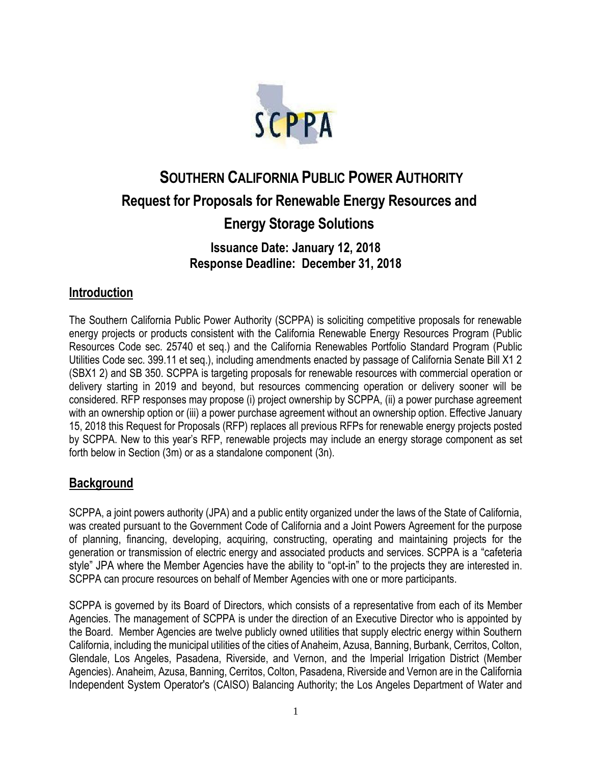

# **SOUTHERN CALIFORNIA PUBLIC POWER AUTHORITY Request for Proposals for Renewable Energy Resources and Energy Storage Solutions Issuance Date: January 12, 2018 Response Deadline: December 31, 2018**

## **Introduction**

The Southern California Public Power Authority (SCPPA) is soliciting competitive proposals for renewable energy projects or products consistent with the California Renewable Energy Resources Program (Public Resources Code sec. 25740 et seq.) and the California Renewables Portfolio Standard Program (Public Utilities Code sec. 399.11 et seq.), including amendments enacted by passage of California Senate Bill X1 2 (SBX1 2) and SB 350. SCPPA is targeting proposals for renewable resources with commercial operation or delivery starting in 2019 and beyond, but resources commencing operation or delivery sooner will be considered. RFP responses may propose (i) project ownership by SCPPA, (ii) a power purchase agreement with an ownership option or (iii) a power purchase agreement without an ownership option. Effective January 15, 2018 this Request for Proposals (RFP) replaces all previous RFPs for renewable energy projects posted by SCPPA. New to this year's RFP, renewable projects may include an energy storage component as set forth below in Section (3m) or as a standalone component (3n).

## **Background**

SCPPA, a joint powers authority (JPA) and a public entity organized under the laws of the State of California, was created pursuant to the Government Code of California and a Joint Powers Agreement for the purpose of planning, financing, developing, acquiring, constructing, operating and maintaining projects for the generation or transmission of electric energy and associated products and services. SCPPA is a "cafeteria style" JPA where the Member Agencies have the ability to "opt-in" to the projects they are interested in. SCPPA can procure resources on behalf of Member Agencies with one or more participants.

SCPPA is governed by its Board of Directors, which consists of a representative from each of its Member Agencies. The management of SCPPA is under the direction of an Executive Director who is appointed by the Board. Member Agencies are twelve publicly owned utilities that supply electric energy within Southern California, including the municipal utilities of the cities of Anaheim, Azusa, Banning, Burbank, Cerritos, Colton, Glendale, Los Angeles, Pasadena, Riverside, and Vernon, and the Imperial Irrigation District (Member Agencies). Anaheim, Azusa, Banning, Cerritos, Colton, Pasadena, Riverside and Vernon are in the California Independent System Operator's (CAISO) Balancing Authority; the Los Angeles Department of Water and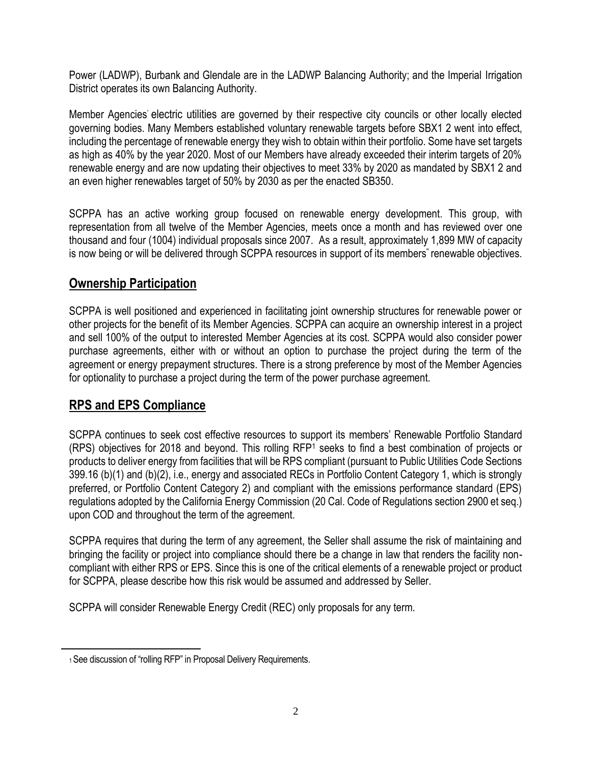Power (LADWP), Burbank and Glendale are in the LADWP Balancing Authority; and the Imperial Irrigation District operates its own Balancing Authority.

Member Agencies' electric utilities are governed by their respective city councils or other locally elected governing bodies. Many Members established voluntary renewable targets before SBX1 2 went into effect, including the percentage of renewable energy they wish to obtain within their portfolio. Some have set targets as high as 40% by the year 2020. Most of our Members have already exceeded their interim targets of 20% renewable energy and are now updating their objectives to meet 33% by 2020 as mandated by SBX1 2 and an even higher renewables target of 50% by 2030 as per the enacted SB350.

SCPPA has an active working group focused on renewable energy development. This group, with representation from all twelve of the Member Agencies, meets once a month and has reviewed over one thousand and four (1004) individual proposals since 2007. As a result, approximately 1,899 MW of capacity is now being or will be delivered through SCPPA resources in support of its members" renewable objectives.

# **Ownership Participation**

SCPPA is well positioned and experienced in facilitating joint ownership structures for renewable power or other projects for the benefit of its Member Agencies. SCPPA can acquire an ownership interest in a project and sell 100% of the output to interested Member Agencies at its cost. SCPPA would also consider power purchase agreements, either with or without an option to purchase the project during the term of the agreement or energy prepayment structures. There is a strong preference by most of the Member Agencies for optionality to purchase a project during the term of the power purchase agreement.

# **RPS and EPS Compliance**

SCPPA continues to seek cost effective resources to support its members' Renewable Portfolio Standard (RPS) objectives for 2018 and beyond. This rolling RFP<sup>1</sup> seeks to find a best combination of projects or products to deliver energy from facilities that will be RPS compliant (pursuant to Public Utilities Code Sections 399.16 (b)(1) and (b)(2), i.e., energy and associated RECs in Portfolio Content Category 1, which is strongly preferred, or Portfolio Content Category 2) and compliant with the emissions performance standard (EPS) regulations adopted by the California Energy Commission (20 Cal. Code of Regulations section 2900 et seq.) upon COD and throughout the term of the agreement.

SCPPA requires that during the term of any agreement, the Seller shall assume the risk of maintaining and bringing the facility or project into compliance should there be a change in law that renders the facility noncompliant with either RPS or EPS. Since this is one of the critical elements of a renewable project or product for SCPPA, please describe how this risk would be assumed and addressed by Seller.

SCPPA will consider Renewable Energy Credit (REC) only proposals for any term.

<sup>1</sup> See discussion of "rolling RFP" in Proposal Delivery Requirements.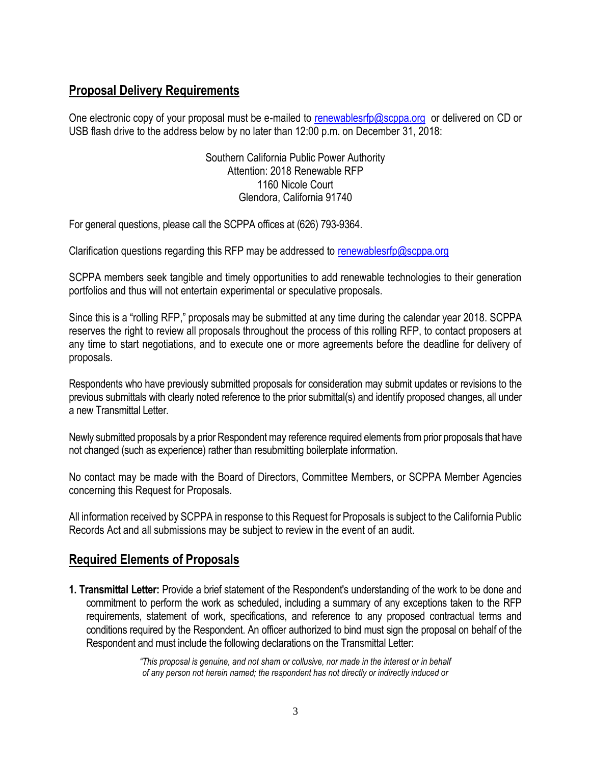# **Proposal Delivery Requirements**

One electronic copy of your proposal must be e-mailed [to](mailto:to_knguyen@scppa.org) [renewablesrfp@scppa.org](mailto:renewablesrfp@scppa.org) or delivered on CD or USB flash drive to the address below by no later than 12:00 p.m. on December 31, 2018:

> Southern California Public Power Authority Attention: 2018 Renewable RFP 1160 Nicole Court Glendora, California 91740

For general questions, please call the SCPPA offices at (626) 793-9364.

Clarification questions regarding this RFP may be addressed to [renewablesrfp@scppa.org](mailto:renewablesrfp@scppa.org)

SCPPA members seek tangible and timely opportunities to add renewable technologies to their generation portfolios and thus will not entertain experimental or speculative proposals.

Since this is a "rolling RFP," proposals may be submitted at any time during the calendar year 2018. SCPPA reserves the right to review all proposals throughout the process of this rolling RFP, to contact proposers at any time to start negotiations, and to execute one or more agreements before the deadline for delivery of proposals.

Respondents who have previously submitted proposals for consideration may submit updates or revisions to the previous submittals with clearly noted reference to the prior submittal(s) and identify proposed changes, all under a new Transmittal Letter.

Newly submitted proposals by a prior Respondent may reference required elements from prior proposals that have not changed (such as experience) rather than resubmitting boilerplate information.

No contact may be made with the Board of Directors, Committee Members, or SCPPA Member Agencies concerning this Request for Proposals.

All information received by SCPPA in response to this Request for Proposals is subject to the California Public Records Act and all submissions may be subject to review in the event of an audit.

## **Required Elements of Proposals**

**1. Transmittal Letter:** Provide a brief statement of the Respondent's understanding of the work to be done and commitment to perform the work as scheduled, including a summary of any exceptions taken to the RFP requirements, statement of work, specifications, and reference to any proposed contractual terms and conditions required by the Respondent. An officer authorized to bind must sign the proposal on behalf of the Respondent and must include the following declarations on the Transmittal Letter:

> *"This proposal is genuine, and not sham or collusive, nor made in the interest or in behalf of any person not herein named; the respondent has not directly or indirectly induced or*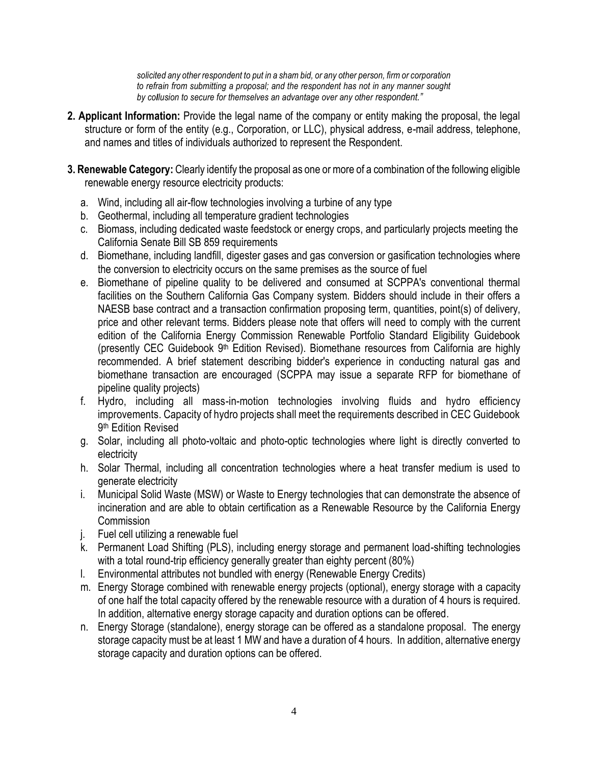*solicited any other respondent to put in a sham bid, or any other person, firm or corporation to refrain from submitting a proposal; and the respondent has not in any manner sought by collusion to secure for themselves an advantage over any other respondent."*

- **2. Applicant Information:** Provide the legal name of the company or entity making the proposal, the legal structure or form of the entity (e.g., Corporation, or LLC), physical address, e-mail address, telephone, and names and titles of individuals authorized to represent the Respondent.
- **3. Renewable Category:** Clearly identify the proposal as one or more of a combination of the following eligible renewable energy resource electricity products:
	- a. Wind, including all air-flow technologies involving a turbine of any type
	- b. Geothermal, including all temperature gradient technologies
	- c. Biomass, including dedicated waste feedstock or energy crops, and particularly projects meeting the California Senate Bill SB 859 requirements
	- d. Biomethane, including landfill, digester gases and gas conversion or gasification technologies where the conversion to electricity occurs on the same premises as the source of fuel
	- e. Biomethane of pipeline quality to be delivered and consumed at SCPPA's conventional thermal facilities on the Southern California Gas Company system. Bidders should include in their offers a NAESB base contract and a transaction confirmation proposing term, quantities, point(s) of delivery, price and other relevant terms. Bidders please note that offers will need to comply with the current edition of the California Energy Commission Renewable Portfolio Standard Eligibility Guidebook (presently CEC Guidebook 9<sup>th</sup> Edition Revised). Biomethane resources from California are highly recommended. A brief statement describing bidder's experience in conducting natural gas and biomethane transaction are encouraged (SCPPA may issue a separate RFP for biomethane of pipeline quality projects)
	- f. Hydro, including all mass-in-motion technologies involving fluids and hydro efficiency improvements. Capacity of hydro projects shall meet the requirements described in CEC Guidebook 9 th Edition Revised
	- g. Solar, including all photo-voltaic and photo-optic technologies where light is directly converted to electricity
	- h. Solar Thermal, including all concentration technologies where a heat transfer medium is used to generate electricity
	- i. Municipal Solid Waste (MSW) or Waste to Energy technologies that can demonstrate the absence of incineration and are able to obtain certification as a Renewable Resource by the California Energy **Commission**
	- j. Fuel cell utilizing a renewable fuel
	- k. Permanent Load Shifting (PLS), including energy storage and permanent load-shifting technologies with a total round-trip efficiency generally greater than eighty percent (80%)
	- l. Environmental attributes not bundled with energy (Renewable Energy Credits)
	- m. Energy Storage combined with renewable energy projects (optional), energy storage with a capacity of one half the total capacity offered by the renewable resource with a duration of 4 hours is required. In addition, alternative energy storage capacity and duration options can be offered.
	- n. Energy Storage (standalone), energy storage can be offered as a standalone proposal. The energy storage capacity must be at least 1 MW and have a duration of 4 hours. In addition, alternative energy storage capacity and duration options can be offered.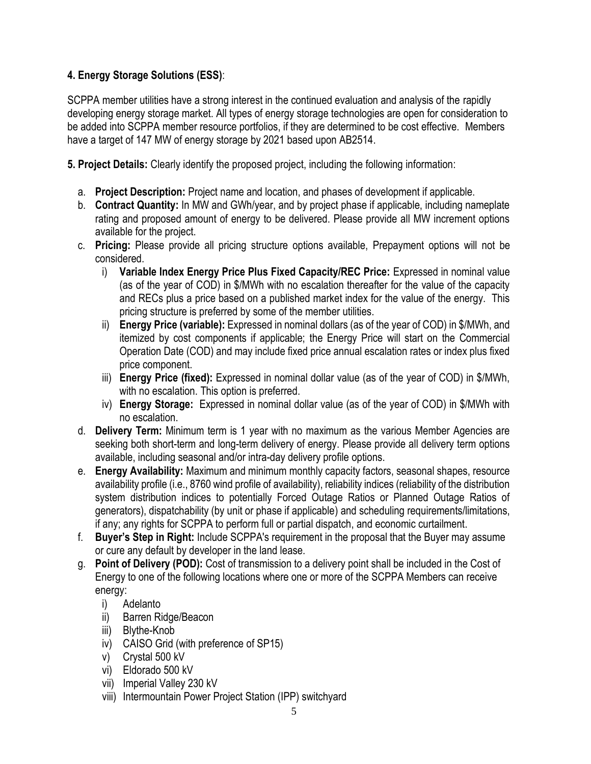#### **4. Energy Storage Solutions (ESS)**:

SCPPA member utilities have a strong interest in the continued evaluation and analysis of the rapidly developing energy storage market. All types of energy storage technologies are open for consideration to be added into SCPPA member resource portfolios, if they are determined to be cost effective. Members have a target of 147 MW of energy storage by 2021 based upon AB2514.

**5. Project Details:** Clearly identify the proposed project, including the following information:

- a. **Project Description:** Project name and location, and phases of development if applicable.
- b. **Contract Quantity:** In MW and GWh/year, and by project phase if applicable, including nameplate rating and proposed amount of energy to be delivered. Please provide all MW increment options available for the project.
- c. **Pricing:** Please provide all pricing structure options available, Prepayment options will not be considered.
	- i) Variable Index Energy Price Plus Fixed Capacity/REC Price: Expressed in nominal value (as of the year of COD) in \$/MWh with no escalation thereafter for the value of the capacity and RECs plus a price based on a published market index for the value of the energy. This pricing structure is preferred by some of the member utilities.
	- ii) **Energy Price (variable):** Expressed in nominal dollars (as of the year of COD) in \$/MWh, and itemized by cost components if applicable; the Energy Price will start on the Commercial Operation Date (COD) and may include fixed price annual escalation rates or index plus fixed price component.
	- iii) **Energy Price (fixed):** Expressed in nominal dollar value (as of the year of COD) in \$/MWh, with no escalation. This option is preferred.
	- iv) **Energy Storage:** Expressed in nominal dollar value (as of the year of COD) in \$/MWh with no escalation.
- d. **Delivery Term:** Minimum term is 1 year with no maximum as the various Member Agencies are seeking both short-term and long-term delivery of energy. Please provide all delivery term options available, including seasonal and/or intra-day delivery profile options.
- e. **Energy Availability:** Maximum and minimum monthly capacity factors, seasonal shapes, resource availability profile (i.e., 8760 wind profile of availability), reliability indices (reliability of the distribution system distribution indices to potentially Forced Outage Ratios or Planned Outage Ratios of generators), dispatchability (by unit or phase if applicable) and scheduling requirements/limitations, if any; any rights for SCPPA to perform full or partial dispatch, and economic curtailment.
- f. **Buyer's Step in Right:** Include SCPPA's requirement in the proposal that the Buyer may assume or cure any default by developer in the land lease.
- g. **Point of Delivery (POD):** Cost of transmission to a delivery point shall be included in the Cost of Energy to one of the following locations where one or more of the SCPPA Members can receive energy:
	- i) Adelanto
	- ii) Barren Ridge/Beacon
	- iii) Blythe-Knob
	- iv) CAISO Grid (with preference of SP15)
	- v) Crystal 500 kV
	- vi) Eldorado 500 kV
	- vii) Imperial Valley 230 kV
	- viii) Intermountain Power Project Station (IPP) switchyard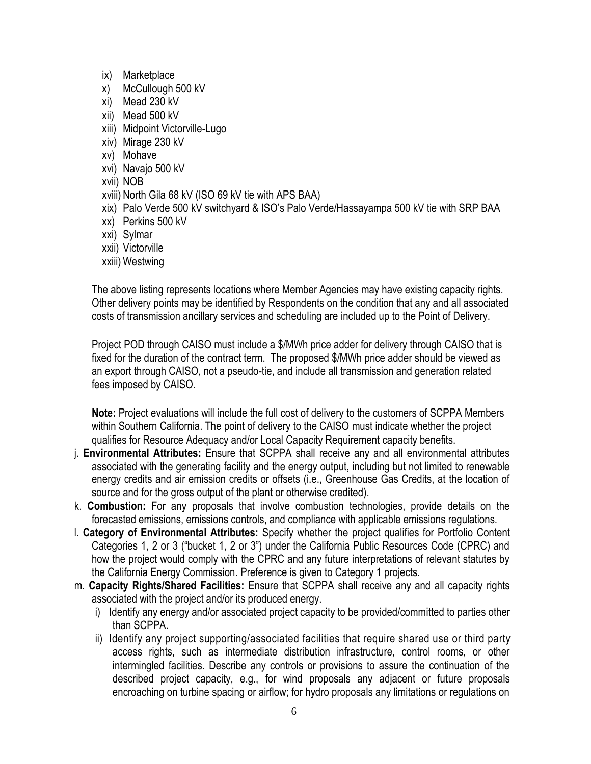- ix) Marketplace
- x) McCullough 500 kV
- xi) Mead 230 kV
- xii) Mead 500 kV
- xiii) Midpoint Victorville-Lugo
- xiv) Mirage 230 kV
- xv) Mohave
- xvi) Navajo 500 kV
- xvii) NOB
- xviii) North Gila 68 kV (ISO 69 kV tie with APS BAA)
- xix) Palo Verde 500 kV switchyard & ISO's Palo Verde/Hassayampa 500 kV tie with SRP BAA
- xx) Perkins 500 kV
- xxi) Sylmar
- xxii) Victorville
- xxiii) Westwing

The above listing represents locations where Member Agencies may have existing capacity rights. Other delivery points may be identified by Respondents on the condition that any and all associated costs of transmission ancillary services and scheduling are included up to the Point of Delivery.

Project POD through CAISO must include a \$/MWh price adder for delivery through CAISO that is fixed for the duration of the contract term. The proposed \$/MWh price adder should be viewed as an export through CAISO, not a pseudo-tie, and include all transmission and generation related fees imposed by CAISO.

**Note:** Project evaluations will include the full cost of delivery to the customers of SCPPA Members within Southern California. The point of delivery to the CAISO must indicate whether the project qualifies for Resource Adequacy and/or Local Capacity Requirement capacity benefits.

- j. **Environmental Attributes:** Ensure that SCPPA shall receive any and all environmental attributes associated with the generating facility and the energy output, including but not limited to renewable energy credits and air emission credits or offsets (i.e., Greenhouse Gas Credits, at the location of source and for the gross output of the plant or otherwise credited).
- k. **Combustion:** For any proposals that involve combustion technologies, provide details on the forecasted emissions, emissions controls, and compliance with applicable emissions regulations.
- l. **Category of Environmental Attributes:** Specify whether the project qualifies for Portfolio Content Categories 1, 2 or 3 ("bucket 1, 2 or 3") under the California Public Resources Code (CPRC) and how the project would comply with the CPRC and any future interpretations of relevant statutes by the California Energy Commission. Preference is given to Category 1 projects.
- m. **Capacity Rights/Shared Facilities:** Ensure that SCPPA shall receive any and all capacity rights associated with the project and/or its produced energy.
	- i) Identify any energy and/or associated project capacity to be provided/committed to parties other than SCPPA.
	- ii) Identify any project supporting/associated facilities that require shared use or third party access rights, such as intermediate distribution infrastructure, control rooms, or other intermingled facilities. Describe any controls or provisions to assure the continuation of the described project capacity, e.g., for wind proposals any adjacent or future proposals encroaching on turbine spacing or airflow; for hydro proposals any limitations or regulations on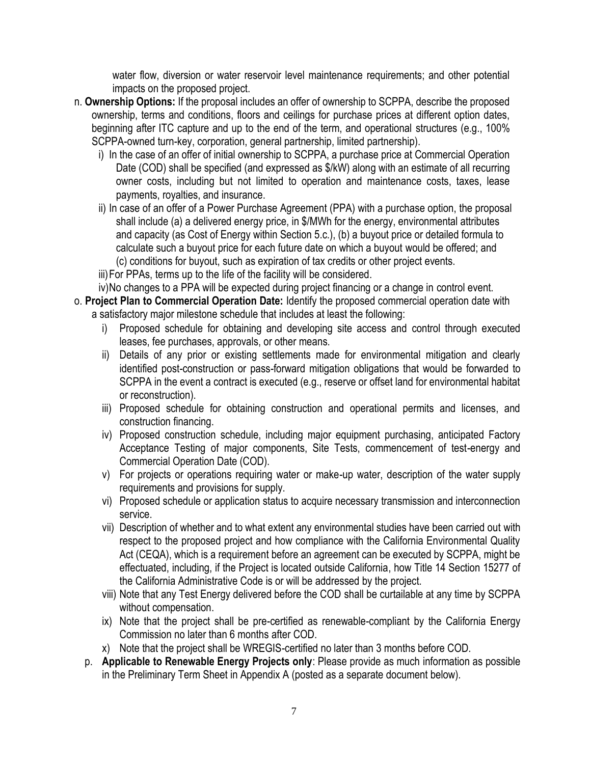water flow, diversion or water reservoir level maintenance requirements; and other potential impacts on the proposed project.

- n. **Ownership Options:** If the proposal includes an offer of ownership to SCPPA, describe the proposed ownership, terms and conditions, floors and ceilings for purchase prices at different option dates, beginning after ITC capture and up to the end of the term, and operational structures (e.g., 100% SCPPA-owned turn-key, corporation, general partnership, limited partnership).
	- i) In the case of an offer of initial ownership to SCPPA, a purchase price at Commercial Operation Date (COD) shall be specified (and expressed as \$/kW) along with an estimate of all recurring owner costs, including but not limited to operation and maintenance costs, taxes, lease payments, royalties, and insurance.
	- ii) In case of an offer of a Power Purchase Agreement (PPA) with a purchase option, the proposal shall include (a) a delivered energy price, in \$/MWh for the energy, environmental attributes and capacity (as Cost of Energy within Section 5.c.), (b) a buyout price or detailed formula to calculate such a buyout price for each future date on which a buyout would be offered; and (c) conditions for buyout, such as expiration of tax credits or other project events.
	- iii)For PPAs, terms up to the life of the facility will be considered.
	- iv)No changes to a PPA will be expected during project financing or a change in control event.
- o. **Project Plan to Commercial Operation Date:** Identify the proposed commercial operation date with a satisfactory major milestone schedule that includes at least the following:
	- i) Proposed schedule for obtaining and developing site access and control through executed leases, fee purchases, approvals, or other means.
	- ii) Details of any prior or existing settlements made for environmental mitigation and clearly identified post-construction or pass-forward mitigation obligations that would be forwarded to SCPPA in the event a contract is executed (e.g., reserve or offset land for environmental habitat or reconstruction).
	- iii) Proposed schedule for obtaining construction and operational permits and licenses, and construction financing.
	- iv) Proposed construction schedule, including major equipment purchasing, anticipated Factory Acceptance Testing of major components, Site Tests, commencement of test-energy and Commercial Operation Date (COD).
	- v) For projects or operations requiring water or make-up water, description of the water supply requirements and provisions for supply.
	- vi) Proposed schedule or application status to acquire necessary transmission and interconnection service.
	- vii) Description of whether and to what extent any environmental studies have been carried out with respect to the proposed project and how compliance with the California Environmental Quality Act (CEQA), which is a requirement before an agreement can be executed by SCPPA, might be effectuated, including, if the Project is located outside California, how Title 14 Section 15277 of the California Administrative Code is or will be addressed by the project.
	- viii) Note that any Test Energy delivered before the COD shall be curtailable at any time by SCPPA without compensation.
	- ix) Note that the project shall be pre-certified as renewable-compliant by the California Energy Commission no later than 6 months after COD.
	- x) Note that the project shall be WREGIS-certified no later than 3 months before COD.
	- p. **Applicable to Renewable Energy Projects only**: Please provide as much information as possible in the Preliminary Term Sheet in Appendix A (posted as a separate document below).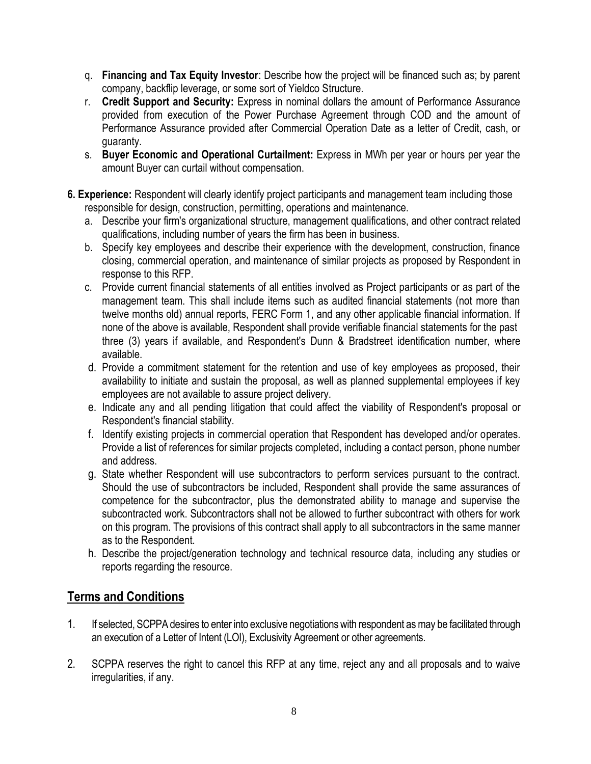- q. **Financing and Tax Equity Investor**: Describe how the project will be financed such as; by parent company, backflip leverage, or some sort of Yieldco Structure.
- r. **Credit Support and Security:** Express in nominal dollars the amount of Performance Assurance provided from execution of the Power Purchase Agreement through COD and the amount of Performance Assurance provided after Commercial Operation Date as a letter of Credit, cash, or guaranty.
- s. **Buyer Economic and Operational Curtailment:** Express in MWh per year or hours per year the amount Buyer can curtail without compensation.
- **6. Experience:** Respondent will clearly identify project participants and management team including those responsible for design, construction, permitting, operations and maintenance.
	- a. Describe your firm's organizational structure, management qualifications, and other contract related qualifications, including number of years the firm has been in business.
	- b. Specify key employees and describe their experience with the development, construction, finance closing, commercial operation, and maintenance of similar projects as proposed by Respondent in response to this RFP.
	- c. Provide current financial statements of all entities involved as Project participants or as part of the management team. This shall include items such as audited financial statements (not more than twelve months old) annual reports, FERC Form 1, and any other applicable financial information. If none of the above is available, Respondent shall provide verifiable financial statements for the past three (3) years if available, and Respondent's Dunn & Bradstreet identification number, where available.
	- d. Provide a commitment statement for the retention and use of key employees as proposed, their availability to initiate and sustain the proposal, as well as planned supplemental employees if key employees are not available to assure project delivery.
	- e. Indicate any and all pending litigation that could affect the viability of Respondent's proposal or Respondent's financial stability.
	- f. Identify existing projects in commercial operation that Respondent has developed and/or operates. Provide a list of references for similar projects completed, including a contact person, phone number and address.
	- g. State whether Respondent will use subcontractors to perform services pursuant to the contract. Should the use of subcontractors be included, Respondent shall provide the same assurances of competence for the subcontractor, plus the demonstrated ability to manage and supervise the subcontracted work. Subcontractors shall not be allowed to further subcontract with others for work on this program. The provisions of this contract shall apply to all subcontractors in the same manner as to the Respondent.
	- h. Describe the project/generation technology and technical resource data, including any studies or reports regarding the resource.

# **Terms and Conditions**

- 1. If selected, SCPPA desires to enter into exclusive negotiations with respondent as may be facilitated through an execution of a Letter of Intent (LOI), Exclusivity Agreement or other agreements.
- 2. SCPPA reserves the right to cancel this RFP at any time, reject any and all proposals and to waive irregularities, if any.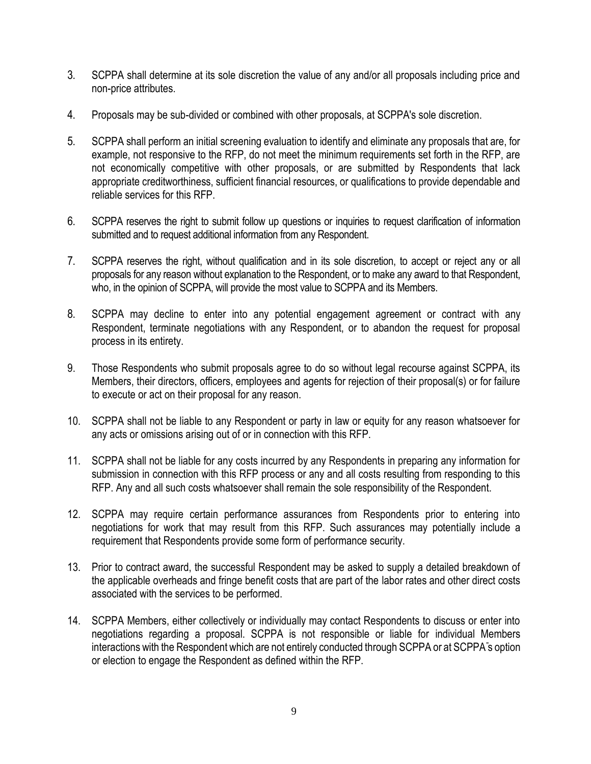- 3. SCPPA shall determine at its sole discretion the value of any and/or all proposals including price and non-price attributes.
- 4. Proposals may be sub-divided or combined with other proposals, at SCPPA's sole discretion.
- 5. SCPPA shall perform an initial screening evaluation to identify and eliminate any proposals that are, for example, not responsive to the RFP, do not meet the minimum requirements set forth in the RFP, are not economically competitive with other proposals, or are submitted by Respondents that lack appropriate creditworthiness, sufficient financial resources, or qualifications to provide dependable and reliable services for this RFP.
- 6. SCPPA reserves the right to submit follow up questions or inquiries to request clarification of information submitted and to request additional information from any Respondent.
- 7. SCPPA reserves the right, without qualification and in its sole discretion, to accept or reject any or all proposals for any reason without explanation to the Respondent, or to make any award to that Respondent, who, in the opinion of SCPPA, will provide the most value to SCPPA and its Members.
- 8. SCPPA may decline to enter into any potential engagement agreement or contract with any Respondent, terminate negotiations with any Respondent, or to abandon the request for proposal process in its entirety.
- 9. Those Respondents who submit proposals agree to do so without legal recourse against SCPPA, its Members, their directors, officers, employees and agents for rejection of their proposal(s) or for failure to execute or act on their proposal for any reason.
- 10. SCPPA shall not be liable to any Respondent or party in law or equity for any reason whatsoever for any acts or omissions arising out of or in connection with this RFP.
- 11. SCPPA shall not be liable for any costs incurred by any Respondents in preparing any information for submission in connection with this RFP process or any and all costs resulting from responding to this RFP. Any and all such costs whatsoever shall remain the sole responsibility of the Respondent.
- 12. SCPPA may require certain performance assurances from Respondents prior to entering into negotiations for work that may result from this RFP. Such assurances may potentially include a requirement that Respondents provide some form of performance security.
- 13. Prior to contract award, the successful Respondent may be asked to supply a detailed breakdown of the applicable overheads and fringe benefit costs that are part of the labor rates and other direct costs associated with the services to be performed.
- 14. SCPPA Members, either collectively or individually may contact Respondents to discuss or enter into negotiations regarding a proposal. SCPPA is not responsible or liable for individual Members interactions with the Respondent which are not entirely conducted through SCPPA or at SCPPA"s option or election to engage the Respondent as defined within the RFP.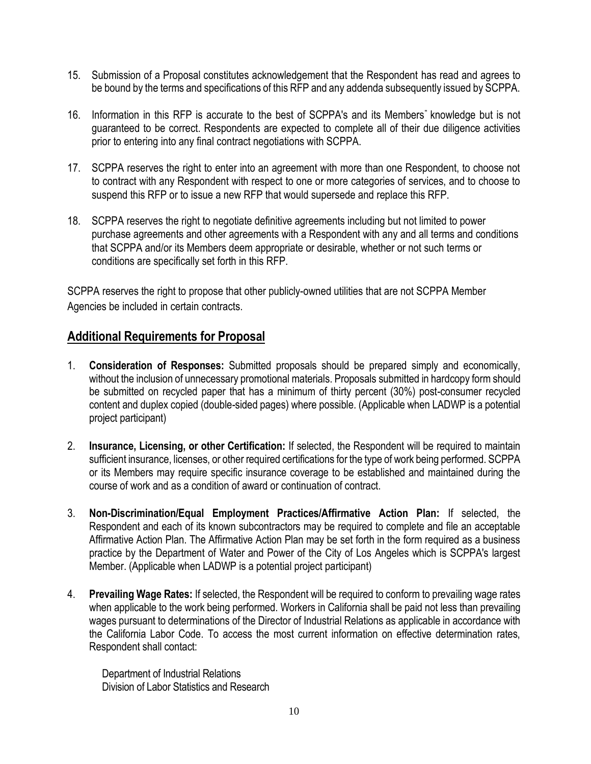- 15. Submission of a Proposal constitutes acknowledgement that the Respondent has read and agrees to be bound by the terms and specifications of this RFP and any addenda subsequently issued by SCPPA.
- 16. Information in this RFP is accurate to the best of SCPPA's and its Members" knowledge but is not guaranteed to be correct. Respondents are expected to complete all of their due diligence activities prior to entering into any final contract negotiations with SCPPA.
- 17. SCPPA reserves the right to enter into an agreement with more than one Respondent, to choose not to contract with any Respondent with respect to one or more categories of services, and to choose to suspend this RFP or to issue a new RFP that would supersede and replace this RFP.
- 18. SCPPA reserves the right to negotiate definitive agreements including but not limited to power purchase agreements and other agreements with a Respondent with any and all terms and conditions that SCPPA and/or its Members deem appropriate or desirable, whether or not such terms or conditions are specifically set forth in this RFP.

SCPPA reserves the right to propose that other publicly-owned utilities that are not SCPPA Member Agencies be included in certain contracts.

## **Additional Requirements for Proposal**

- 1. **Consideration of Responses:** Submitted proposals should be prepared simply and economically, without the inclusion of unnecessary promotional materials. Proposals submitted in hardcopy form should be submitted on recycled paper that has a minimum of thirty percent (30%) post-consumer recycled content and duplex copied (double-sided pages) where possible. (Applicable when LADWP is a potential project participant)
- 2. **Insurance, Licensing, or other Certification:** If selected, the Respondent will be required to maintain sufficient insurance, licenses, or other required certifications for the type of work being performed. SCPPA or its Members may require specific insurance coverage to be established and maintained during the course of work and as a condition of award or continuation of contract.
- 3. **Non-Discrimination/Equal Employment Practices/Affirmative Action Plan:** If selected, the Respondent and each of its known subcontractors may be required to complete and file an acceptable Affirmative Action Plan. The Affirmative Action Plan may be set forth in the form required as a business practice by the Department of Water and Power of the City of Los Angeles which is SCPPA's largest Member. (Applicable when LADWP is a potential project participant)
- 4. **Prevailing Wage Rates:** If selected, the Respondent will be required to conform to prevailing wage rates when applicable to the work being performed. Workers in California shall be paid not less than prevailing wages pursuant to determinations of the Director of Industrial Relations as applicable in accordance with the California Labor Code. To access the most current information on effective determination rates, Respondent shall contact:

Department of Industrial Relations Division of Labor Statistics and Research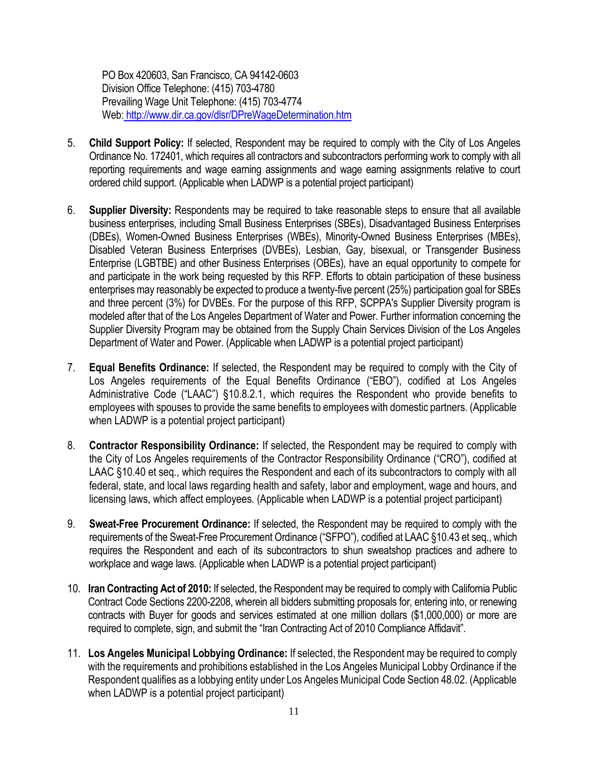PO Box 420603, San Francisco, CA 94142-0603 Division Office Telephone: (415) 703-4780 Prevailing Wage Unit Telephone: (415) 703-4774 Web: <http://www.dir.ca.gov/dlsr/DPreWageDetermination.htm>

- 5. **Child Support Policy:** If selected, Respondent may be required to comply with the City of Los Angeles Ordinance No. 172401, which requires all contractors and subcontractors performing work to comply with all reporting requirements and wage earning assignments and wage earning assignments relative to court ordered child support. (Applicable when LADWP is a potential project participant)
- 6. **Supplier Diversity:** Respondents may be required to take reasonable steps to ensure that all available business enterprises, including Small Business Enterprises (SBEs), Disadvantaged Business Enterprises (DBEs), Women-Owned Business Enterprises (WBEs), Minority-Owned Business Enterprises (MBEs), Disabled Veteran Business Enterprises (DVBEs), Lesbian, Gay, bisexual, or Transgender Business Enterprise (LGBTBE) and other Business Enterprises (OBEs), have an equal opportunity to compete for and participate in the work being requested by this RFP. Efforts to obtain participation of these business enterprises may reasonably be expected to produce a twenty-five percent (25%) participation goal for SBEs and three percent (3%) for DVBEs. For the purpose of this RFP, SCPPA's Supplier Diversity program is modeled after that of the Los Angeles Department of Water and Power. Further information concerning the Supplier Diversity Program may be obtained from the Supply Chain Services Division of the Los Angeles Department of Water and Power. (Applicable when LADWP is a potential project participant)
- 7. **Equal Benefits Ordinance:** If selected, the Respondent may be required to comply with the City of Los Angeles requirements of the Equal Benefits Ordinance ("EBO"), codified at Los Angeles Administrative Code ("LAAC") §10.8.2.1, which requires the Respondent who provide benefits to employees with spouses to provide the same benefits to employees with domestic partners. (Applicable when LADWP is a potential project participant)
- 8. **Contractor Responsibility Ordinance:** If selected, the Respondent may be required to comply with the City of Los Angeles requirements of the Contractor Responsibility Ordinance ("CRO"), codified at LAAC §10.40 et seq., which requires the Respondent and each of its subcontractors to comply with all federal, state, and local laws regarding health and safety, labor and employment, wage and hours, and licensing laws, which affect employees. (Applicable when LADWP is a potential project participant)
- 9. **Sweat-Free Procurement Ordinance:** If selected, the Respondent may be required to comply with the requirements of the Sweat-Free Procurement Ordinance ("SFPO"), codified at LAAC §10.43 et seq., which requires the Respondent and each of its subcontractors to shun sweatshop practices and adhere to workplace and wage laws. (Applicable when LADWP is a potential project participant)
- 10. **Iran Contracting Act of 2010:** If selected, the Respondent may be required to comply with California Public Contract Code Sections 2200-2208, wherein all bidders submitting proposals for, entering into, or renewing contracts with Buyer for goods and services estimated at one million dollars (\$1,000,000) or more are required to complete, sign, and submit the "Iran Contracting Act of 2010 Compliance Affidavit".
- 11. **Los Angeles Municipal Lobbying Ordinance:** If selected, the Respondent may be required to comply with the requirements and prohibitions established in the Los Angeles Municipal Lobby Ordinance if the Respondent qualifies as a lobbying entity under Los Angeles Municipal Code Section 48.02. (Applicable when LADWP is a potential project participant)